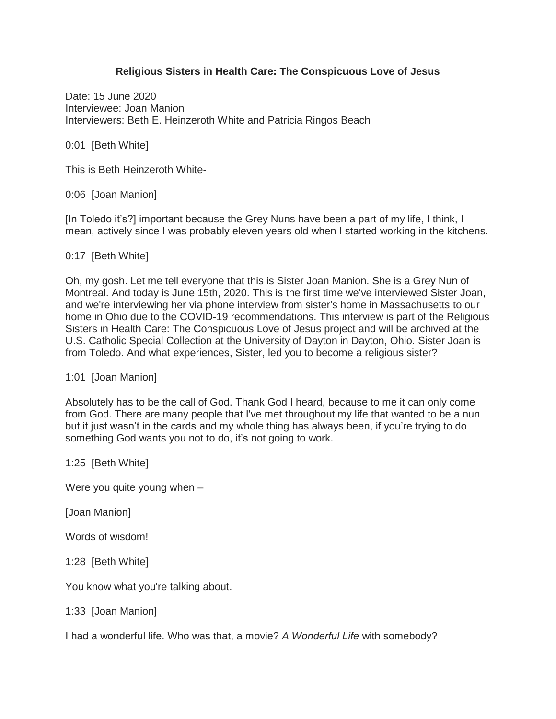# **Religious Sisters in Health Care: The Conspicuous Love of Jesus**

Date: 15 June 2020 Interviewee: Joan Manion Interviewers: Beth E. Heinzeroth White and Patricia Ringos Beach

0:01 [Beth White]

This is Beth Heinzeroth White-

0:06 [Joan Manion]

[In Toledo it's?] important because the Grey Nuns have been a part of my life, I think, I mean, actively since I was probably eleven years old when I started working in the kitchens.

### 0:17 [Beth White]

Oh, my gosh. Let me tell everyone that this is Sister Joan Manion. She is a Grey Nun of Montreal. And today is June 15th, 2020. This is the first time we've interviewed Sister Joan, and we're interviewing her via phone interview from sister's home in Massachusetts to our home in Ohio due to the COVID-19 recommendations. This interview is part of the Religious Sisters in Health Care: The Conspicuous Love of Jesus project and will be archived at the U.S. Catholic Special Collection at the University of Dayton in Dayton, Ohio. Sister Joan is from Toledo. And what experiences, Sister, led you to become a religious sister?

1:01 [Joan Manion]

Absolutely has to be the call of God. Thank God I heard, because to me it can only come from God. There are many people that I've met throughout my life that wanted to be a nun but it just wasn't in the cards and my whole thing has always been, if you're trying to do something God wants you not to do, it's not going to work.

1:25 [Beth White]

Were you quite young when –

[Joan Manion]

Words of wisdom!

1:28 [Beth White]

You know what you're talking about.

1:33 [Joan Manion]

I had a wonderful life. Who was that, a movie? *A Wonderful Life* with somebody?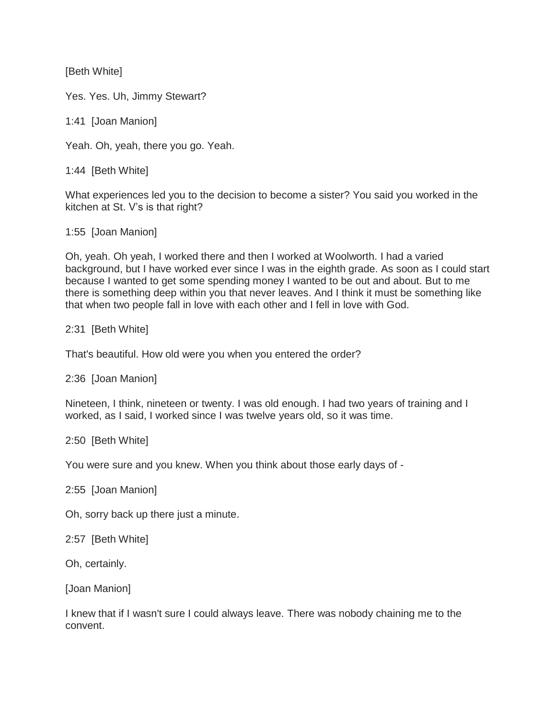[Beth White]

Yes. Yes. Uh, Jimmy Stewart?

1:41 [Joan Manion]

Yeah. Oh, yeah, there you go. Yeah.

1:44 [Beth White]

What experiences led you to the decision to become a sister? You said you worked in the kitchen at St. V's is that right?

1:55 [Joan Manion]

Oh, yeah. Oh yeah, I worked there and then I worked at Woolworth. I had a varied background, but I have worked ever since I was in the eighth grade. As soon as I could start because I wanted to get some spending money I wanted to be out and about. But to me there is something deep within you that never leaves. And I think it must be something like that when two people fall in love with each other and I fell in love with God.

2:31 [Beth White]

That's beautiful. How old were you when you entered the order?

2:36 [Joan Manion]

Nineteen, I think, nineteen or twenty. I was old enough. I had two years of training and I worked, as I said, I worked since I was twelve years old, so it was time.

2:50 [Beth White]

You were sure and you knew. When you think about those early days of -

2:55 [Joan Manion]

Oh, sorry back up there just a minute.

2:57 [Beth White]

Oh, certainly.

[Joan Manion]

I knew that if I wasn't sure I could always leave. There was nobody chaining me to the convent.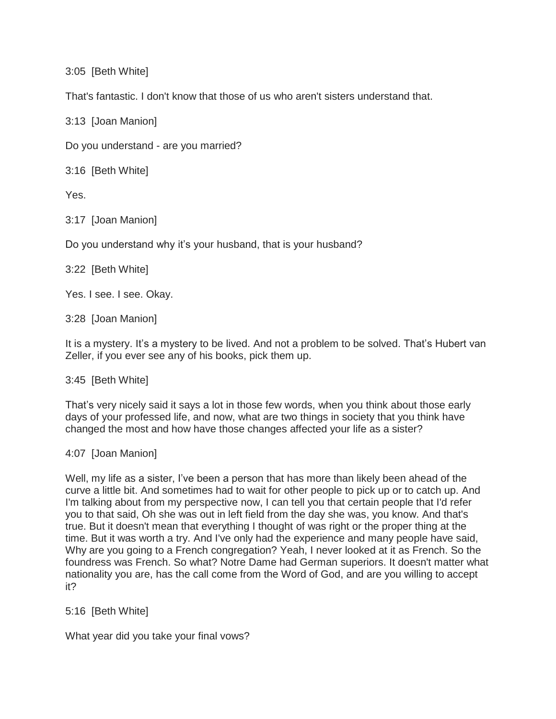3:05 [Beth White]

That's fantastic. I don't know that those of us who aren't sisters understand that.

3:13 [Joan Manion]

Do you understand - are you married?

3:16 [Beth White]

Yes.

3:17 [Joan Manion]

Do you understand why it's your husband, that is your husband?

3:22 [Beth White]

Yes. I see. I see. Okay.

3:28 [Joan Manion]

It is a mystery. It's a mystery to be lived. And not a problem to be solved. That's Hubert van Zeller, if you ever see any of his books, pick them up.

3:45 [Beth White]

That's very nicely said it says a lot in those few words, when you think about those early days of your professed life, and now, what are two things in society that you think have changed the most and how have those changes affected your life as a sister?

4:07 [Joan Manion]

Well, my life as a sister, I've been a person that has more than likely been ahead of the curve a little bit. And sometimes had to wait for other people to pick up or to catch up. And I'm talking about from my perspective now, I can tell you that certain people that I'd refer you to that said, Oh she was out in left field from the day she was, you know. And that's true. But it doesn't mean that everything I thought of was right or the proper thing at the time. But it was worth a try. And I've only had the experience and many people have said, Why are you going to a French congregation? Yeah, I never looked at it as French. So the foundress was French. So what? Notre Dame had German superiors. It doesn't matter what nationality you are, has the call come from the Word of God, and are you willing to accept it?

5:16 [Beth White]

What year did you take your final vows?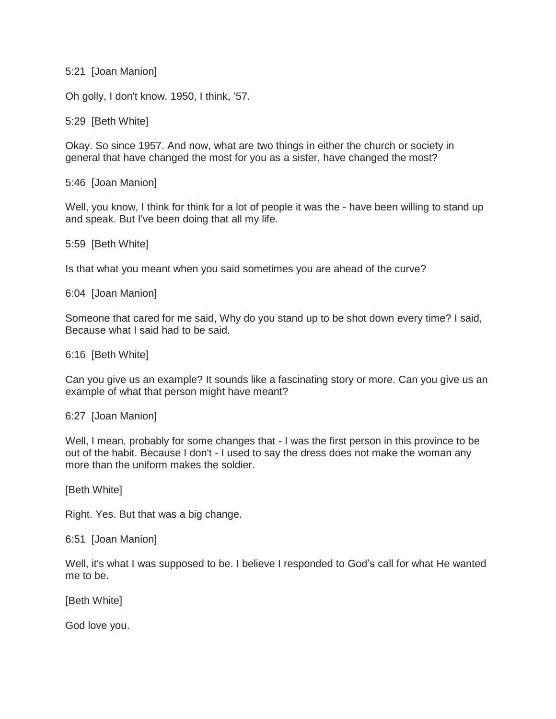5:21 [Joan Manion]

Oh golly, I don't know. 1950, I think, '57.

5:29 [Beth White]

Okay. So since 1957. And now, what are two things in either the church or society in general that have changed the most for you as a sister, have changed the most?

5:46 [Joan Manion]

Well, you know, I think for think for a lot of people it was the - have been willing to stand up and speak. But I've been doing that all my life.

5:59 [Beth White]

Is that what you meant when you said sometimes you are ahead of the curve?

6:04 [Joan Manion]

Someone that cared for me said, Why do you stand up to be shot down every time? I said, Because what I said had to be said.

6:16 [Beth White]

Can you give us an example? It sounds like a fascinating story or more. Can you give us an example of what that person might have meant?

6:27 [Joan Manion]

Well, I mean, probably for some changes that - I was the first person in this province to be out of the habit. Because I don't - I used to say the dress does not make the woman any more than the uniform makes the soldier.

[Beth White]

Right. Yes. But that was a big change.

6:51 [Joan Manion]

Well, it's what I was supposed to be. I believe I responded to God's call for what He wanted me to be.

[Beth White]

God love you.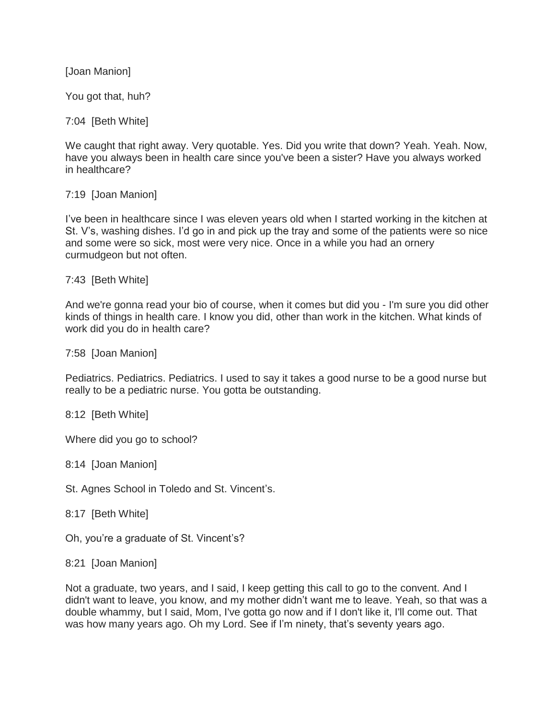[Joan Manion]

You got that, huh?

7:04 [Beth White]

We caught that right away. Very quotable. Yes. Did you write that down? Yeah. Yeah. Now, have you always been in health care since you've been a sister? Have you always worked in healthcare?

7:19 [Joan Manion]

I've been in healthcare since I was eleven years old when I started working in the kitchen at St. V's, washing dishes. I'd go in and pick up the tray and some of the patients were so nice and some were so sick, most were very nice. Once in a while you had an ornery curmudgeon but not often.

7:43 [Beth White]

And we're gonna read your bio of course, when it comes but did you - I'm sure you did other kinds of things in health care. I know you did, other than work in the kitchen. What kinds of work did you do in health care?

7:58 [Joan Manion]

Pediatrics. Pediatrics. Pediatrics. I used to say it takes a good nurse to be a good nurse but really to be a pediatric nurse. You gotta be outstanding.

8:12 [Beth White]

Where did you go to school?

8:14 [Joan Manion]

St. Agnes School in Toledo and St. Vincent's.

8:17 [Beth White]

Oh, you're a graduate of St. Vincent's?

8:21 [Joan Manion]

Not a graduate, two years, and I said, I keep getting this call to go to the convent. And I didn't want to leave, you know, and my mother didn't want me to leave. Yeah, so that was a double whammy, but I said, Mom, I've gotta go now and if I don't like it, I'll come out. That was how many years ago. Oh my Lord. See if I'm ninety, that's seventy years ago.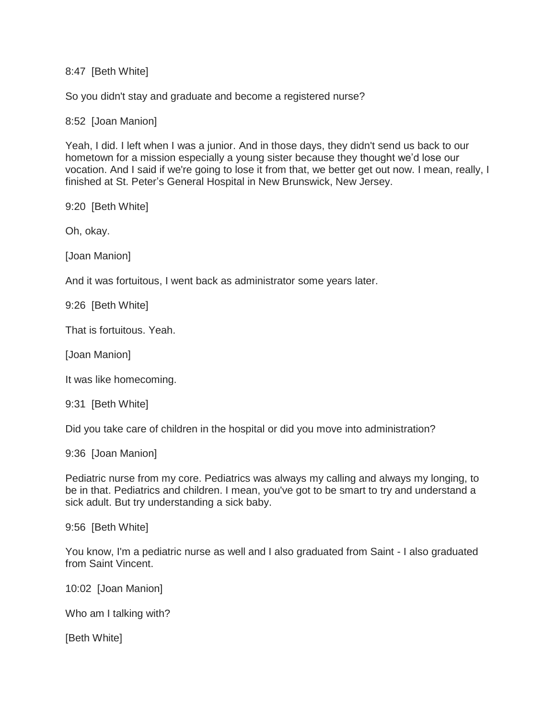8:47 [Beth White]

So you didn't stay and graduate and become a registered nurse?

8:52 [Joan Manion]

Yeah, I did. I left when I was a junior. And in those days, they didn't send us back to our hometown for a mission especially a young sister because they thought we'd lose our vocation. And I said if we're going to lose it from that, we better get out now. I mean, really, I finished at St. Peter's General Hospital in New Brunswick, New Jersey.

9:20 [Beth White]

Oh, okay.

[Joan Manion]

And it was fortuitous, I went back as administrator some years later.

9:26 [Beth White]

That is fortuitous. Yeah.

[Joan Manion]

It was like homecoming.

9:31 [Beth White]

Did you take care of children in the hospital or did you move into administration?

9:36 [Joan Manion]

Pediatric nurse from my core. Pediatrics was always my calling and always my longing, to be in that. Pediatrics and children. I mean, you've got to be smart to try and understand a sick adult. But try understanding a sick baby.

9:56 [Beth White]

You know, I'm a pediatric nurse as well and I also graduated from Saint - I also graduated from Saint Vincent.

10:02 [Joan Manion]

Who am I talking with?

[Beth White]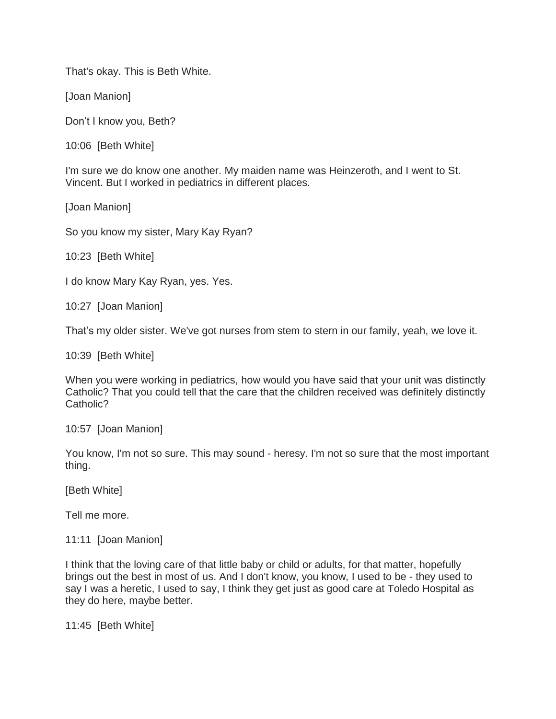That's okay. This is Beth White.

[Joan Manion]

Don't I know you, Beth?

10:06 [Beth White]

I'm sure we do know one another. My maiden name was Heinzeroth, and I went to St. Vincent. But I worked in pediatrics in different places.

[Joan Manion]

So you know my sister, Mary Kay Ryan?

10:23 [Beth White]

I do know Mary Kay Ryan, yes. Yes.

10:27 [Joan Manion]

That's my older sister. We've got nurses from stem to stern in our family, yeah, we love it.

10:39 [Beth White]

When you were working in pediatrics, how would you have said that your unit was distinctly Catholic? That you could tell that the care that the children received was definitely distinctly Catholic?

10:57 [Joan Manion]

You know, I'm not so sure. This may sound - heresy. I'm not so sure that the most important thing.

[Beth White]

Tell me more.

11:11 [Joan Manion]

I think that the loving care of that little baby or child or adults, for that matter, hopefully brings out the best in most of us. And I don't know, you know, I used to be - they used to say I was a heretic, I used to say, I think they get just as good care at Toledo Hospital as they do here, maybe better.

11:45 [Beth White]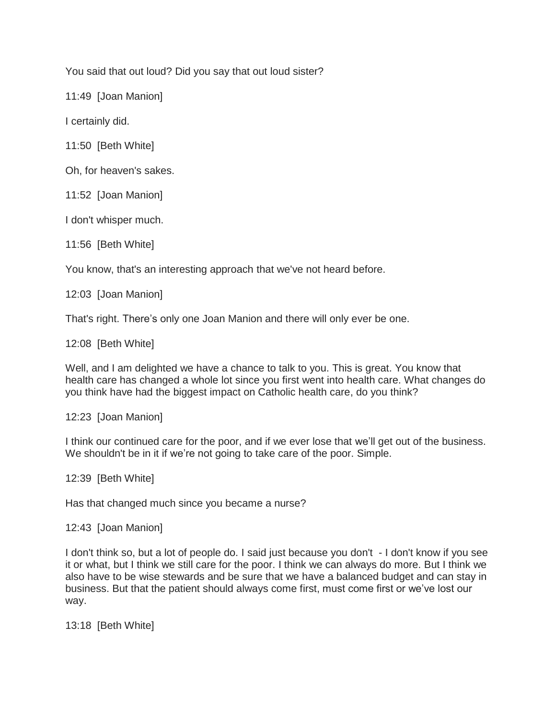You said that out loud? Did you say that out loud sister?

11:49 [Joan Manion]

I certainly did.

11:50 [Beth White]

Oh, for heaven's sakes.

11:52 [Joan Manion]

I don't whisper much.

11:56 [Beth White]

You know, that's an interesting approach that we've not heard before.

12:03 [Joan Manion]

That's right. There's only one Joan Manion and there will only ever be one.

12:08 [Beth White]

Well, and I am delighted we have a chance to talk to you. This is great. You know that health care has changed a whole lot since you first went into health care. What changes do you think have had the biggest impact on Catholic health care, do you think?

12:23 [Joan Manion]

I think our continued care for the poor, and if we ever lose that we'll get out of the business. We shouldn't be in it if we're not going to take care of the poor. Simple.

12:39 [Beth White]

Has that changed much since you became a nurse?

12:43 [Joan Manion]

I don't think so, but a lot of people do. I said just because you don't - I don't know if you see it or what, but I think we still care for the poor. I think we can always do more. But I think we also have to be wise stewards and be sure that we have a balanced budget and can stay in business. But that the patient should always come first, must come first or we've lost our way.

13:18 [Beth White]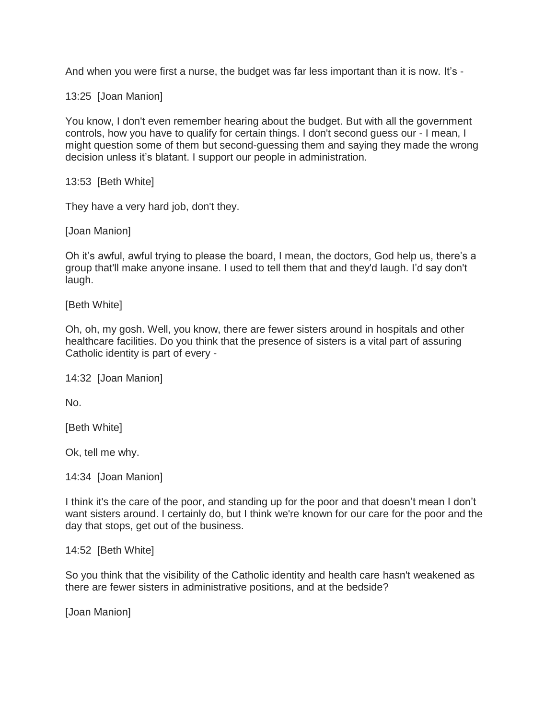And when you were first a nurse, the budget was far less important than it is now. It's -

13:25 [Joan Manion]

You know, I don't even remember hearing about the budget. But with all the government controls, how you have to qualify for certain things. I don't second guess our - I mean, I might question some of them but second-guessing them and saying they made the wrong decision unless it's blatant. I support our people in administration.

13:53 [Beth White]

They have a very hard job, don't they.

[Joan Manion]

Oh it's awful, awful trying to please the board, I mean, the doctors, God help us, there's a group that'll make anyone insane. I used to tell them that and they'd laugh. I'd say don't laugh.

[Beth White]

Oh, oh, my gosh. Well, you know, there are fewer sisters around in hospitals and other healthcare facilities. Do you think that the presence of sisters is a vital part of assuring Catholic identity is part of every -

14:32 [Joan Manion]

No.

[Beth White]

Ok, tell me why.

14:34 [Joan Manion]

I think it's the care of the poor, and standing up for the poor and that doesn't mean I don't want sisters around. I certainly do, but I think we're known for our care for the poor and the day that stops, get out of the business.

14:52 [Beth White]

So you think that the visibility of the Catholic identity and health care hasn't weakened as there are fewer sisters in administrative positions, and at the bedside?

[Joan Manion]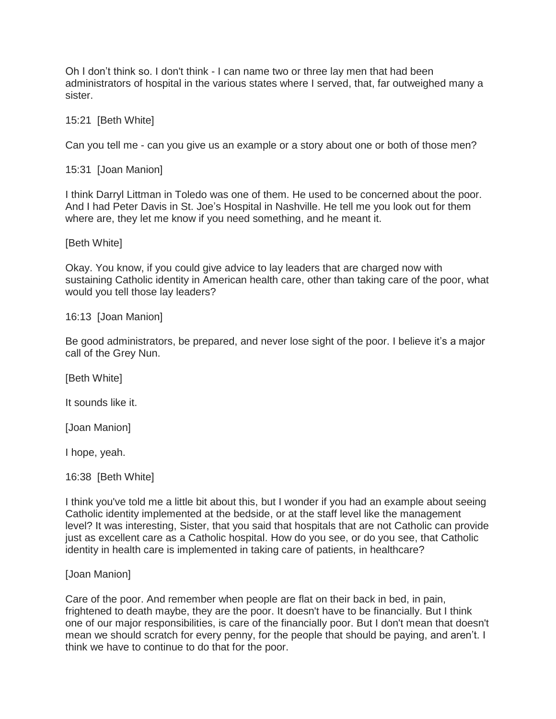Oh I don't think so. I don't think - I can name two or three lay men that had been administrators of hospital in the various states where I served, that, far outweighed many a sister.

15:21 [Beth White]

Can you tell me - can you give us an example or a story about one or both of those men?

15:31 [Joan Manion]

I think Darryl Littman in Toledo was one of them. He used to be concerned about the poor. And I had Peter Davis in St. Joe's Hospital in Nashville. He tell me you look out for them where are, they let me know if you need something, and he meant it.

[Beth White]

Okay. You know, if you could give advice to lay leaders that are charged now with sustaining Catholic identity in American health care, other than taking care of the poor, what would you tell those lay leaders?

16:13 [Joan Manion]

Be good administrators, be prepared, and never lose sight of the poor. I believe it's a major call of the Grey Nun.

[Beth White]

It sounds like it.

[Joan Manion]

I hope, yeah.

16:38 [Beth White]

I think you've told me a little bit about this, but I wonder if you had an example about seeing Catholic identity implemented at the bedside, or at the staff level like the management level? It was interesting, Sister, that you said that hospitals that are not Catholic can provide just as excellent care as a Catholic hospital. How do you see, or do you see, that Catholic identity in health care is implemented in taking care of patients, in healthcare?

[Joan Manion]

Care of the poor. And remember when people are flat on their back in bed, in pain, frightened to death maybe, they are the poor. It doesn't have to be financially. But I think one of our major responsibilities, is care of the financially poor. But I don't mean that doesn't mean we should scratch for every penny, for the people that should be paying, and aren't. I think we have to continue to do that for the poor.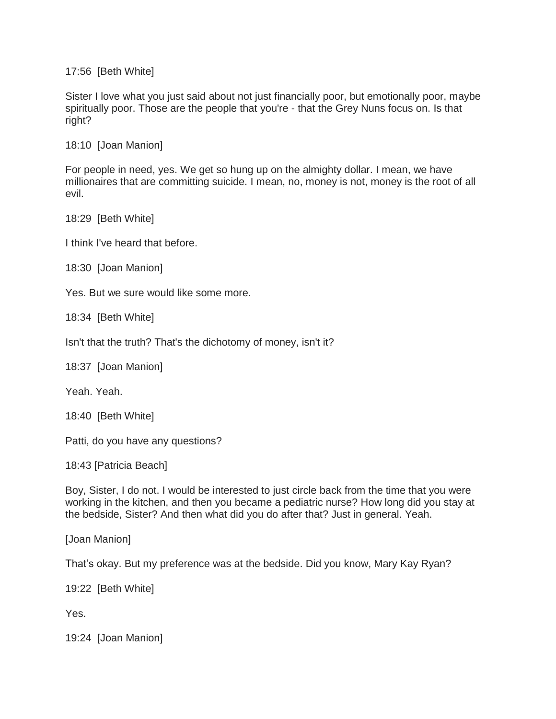17:56 [Beth White]

Sister I love what you just said about not just financially poor, but emotionally poor, maybe spiritually poor. Those are the people that you're - that the Grey Nuns focus on. Is that right?

18:10 [Joan Manion]

For people in need, yes. We get so hung up on the almighty dollar. I mean, we have millionaires that are committing suicide. I mean, no, money is not, money is the root of all evil.

18:29 [Beth White]

I think I've heard that before.

18:30 [Joan Manion]

Yes. But we sure would like some more.

18:34 [Beth White]

Isn't that the truth? That's the dichotomy of money, isn't it?

18:37 [Joan Manion]

Yeah. Yeah.

18:40 [Beth White]

Patti, do you have any questions?

18:43 [Patricia Beach]

Boy, Sister, I do not. I would be interested to just circle back from the time that you were working in the kitchen, and then you became a pediatric nurse? How long did you stay at the bedside, Sister? And then what did you do after that? Just in general. Yeah.

[Joan Manion]

That's okay. But my preference was at the bedside. Did you know, Mary Kay Ryan?

19:22 [Beth White]

Yes.

19:24 [Joan Manion]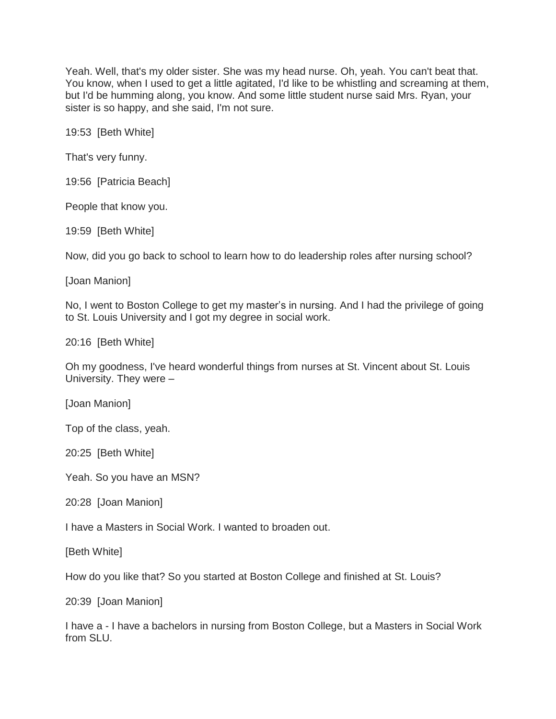Yeah. Well, that's my older sister. She was my head nurse. Oh, yeah. You can't beat that. You know, when I used to get a little agitated, I'd like to be whistling and screaming at them, but I'd be humming along, you know. And some little student nurse said Mrs. Ryan, your sister is so happy, and she said, I'm not sure.

19:53 [Beth White]

That's very funny.

19:56 [Patricia Beach]

People that know you.

19:59 [Beth White]

Now, did you go back to school to learn how to do leadership roles after nursing school?

[Joan Manion]

No, I went to Boston College to get my master's in nursing. And I had the privilege of going to St. Louis University and I got my degree in social work.

20:16 [Beth White]

Oh my goodness, I've heard wonderful things from nurses at St. Vincent about St. Louis University. They were –

[Joan Manion]

Top of the class, yeah.

20:25 [Beth White]

Yeah. So you have an MSN?

20:28 [Joan Manion]

I have a Masters in Social Work. I wanted to broaden out.

[Beth White]

How do you like that? So you started at Boston College and finished at St. Louis?

20:39 [Joan Manion]

I have a - I have a bachelors in nursing from Boston College, but a Masters in Social Work from SLU.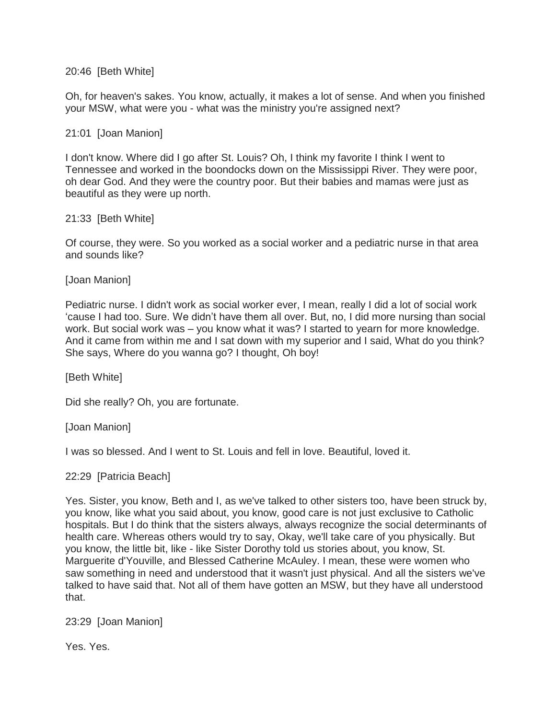20:46 [Beth White]

Oh, for heaven's sakes. You know, actually, it makes a lot of sense. And when you finished your MSW, what were you - what was the ministry you're assigned next?

## 21:01 [Joan Manion]

I don't know. Where did I go after St. Louis? Oh, I think my favorite I think I went to Tennessee and worked in the boondocks down on the Mississippi River. They were poor, oh dear God. And they were the country poor. But their babies and mamas were just as beautiful as they were up north.

### 21:33 [Beth White]

Of course, they were. So you worked as a social worker and a pediatric nurse in that area and sounds like?

## [Joan Manion]

Pediatric nurse. I didn't work as social worker ever, I mean, really I did a lot of social work 'cause I had too. Sure. We didn't have them all over. But, no, I did more nursing than social work. But social work was – you know what it was? I started to yearn for more knowledge. And it came from within me and I sat down with my superior and I said, What do you think? She says, Where do you wanna go? I thought, Oh boy!

[Beth White]

Did she really? Oh, you are fortunate.

[Joan Manion]

I was so blessed. And I went to St. Louis and fell in love. Beautiful, loved it.

#### 22:29 [Patricia Beach]

Yes. Sister, you know, Beth and I, as we've talked to other sisters too, have been struck by, you know, like what you said about, you know, good care is not just exclusive to Catholic hospitals. But I do think that the sisters always, always recognize the social determinants of health care. Whereas others would try to say, Okay, we'll take care of you physically. But you know, the little bit, like - like Sister Dorothy told us stories about, you know, St. Marguerite d'Youville, and Blessed Catherine McAuley. I mean, these were women who saw something in need and understood that it wasn't just physical. And all the sisters we've talked to have said that. Not all of them have gotten an MSW, but they have all understood that.

23:29 [Joan Manion]

Yes. Yes.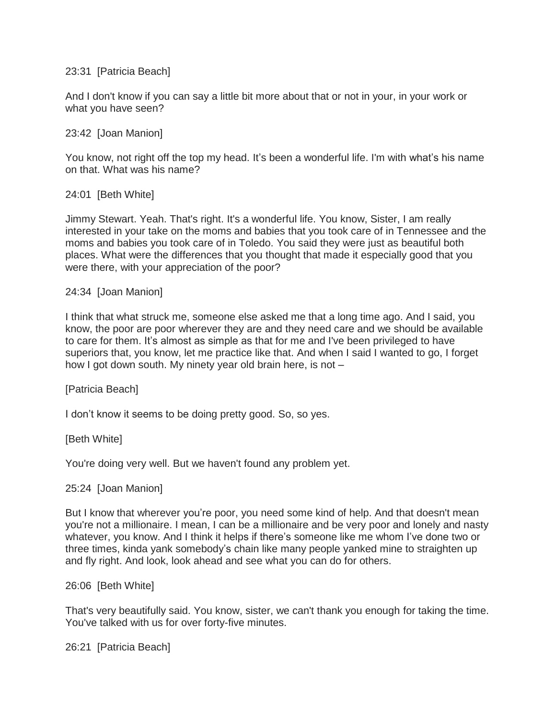### 23:31 [Patricia Beach]

And I don't know if you can say a little bit more about that or not in your, in your work or what you have seen?

### 23:42 [Joan Manion]

You know, not right off the top my head. It's been a wonderful life. I'm with what's his name on that. What was his name?

### 24:01 [Beth White]

Jimmy Stewart. Yeah. That's right. It's a wonderful life. You know, Sister, I am really interested in your take on the moms and babies that you took care of in Tennessee and the moms and babies you took care of in Toledo. You said they were just as beautiful both places. What were the differences that you thought that made it especially good that you were there, with your appreciation of the poor?

### 24:34 [Joan Manion]

I think that what struck me, someone else asked me that a long time ago. And I said, you know, the poor are poor wherever they are and they need care and we should be available to care for them. It's almost as simple as that for me and I've been privileged to have superiors that, you know, let me practice like that. And when I said I wanted to go, I forget how I got down south. My ninety year old brain here, is not –

[Patricia Beach]

I don't know it seems to be doing pretty good. So, so yes.

[Beth White]

You're doing very well. But we haven't found any problem yet.

#### 25:24 [Joan Manion]

But I know that wherever you're poor, you need some kind of help. And that doesn't mean you're not a millionaire. I mean, I can be a millionaire and be very poor and lonely and nasty whatever, you know. And I think it helps if there's someone like me whom I've done two or three times, kinda yank somebody's chain like many people yanked mine to straighten up and fly right. And look, look ahead and see what you can do for others.

#### 26:06 [Beth White]

That's very beautifully said. You know, sister, we can't thank you enough for taking the time. You've talked with us for over forty-five minutes.

26:21 [Patricia Beach]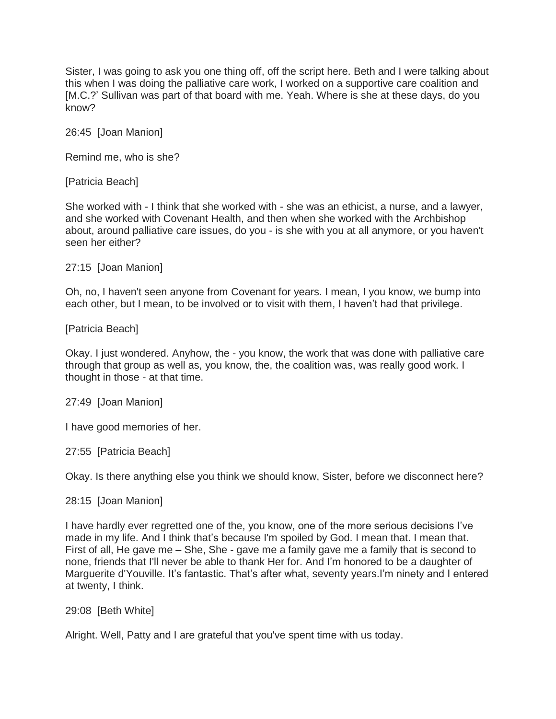Sister, I was going to ask you one thing off, off the script here. Beth and I were talking about this when I was doing the palliative care work, I worked on a supportive care coalition and [M.C.?' Sullivan was part of that board with me. Yeah. Where is she at these days, do you know?

26:45 [Joan Manion]

Remind me, who is she?

[Patricia Beach]

She worked with - I think that she worked with - she was an ethicist, a nurse, and a lawyer, and she worked with Covenant Health, and then when she worked with the Archbishop about, around palliative care issues, do you - is she with you at all anymore, or you haven't seen her either?

## 27:15 [Joan Manion]

Oh, no, I haven't seen anyone from Covenant for years. I mean, I you know, we bump into each other, but I mean, to be involved or to visit with them, I haven't had that privilege.

[Patricia Beach]

Okay. I just wondered. Anyhow, the - you know, the work that was done with palliative care through that group as well as, you know, the, the coalition was, was really good work. I thought in those - at that time.

27:49 [Joan Manion]

I have good memories of her.

27:55 [Patricia Beach]

Okay. Is there anything else you think we should know, Sister, before we disconnect here?

28:15 [Joan Manion]

I have hardly ever regretted one of the, you know, one of the more serious decisions I've made in my life. And I think that's because I'm spoiled by God. I mean that. I mean that. First of all, He gave me – She, She - gave me a family gave me a family that is second to none, friends that I'll never be able to thank Her for. And I'm honored to be a daughter of Marguerite d'Youville. It's fantastic. That's after what, seventy years.I'm ninety and I entered at twenty, I think.

29:08 [Beth White]

Alright. Well, Patty and I are grateful that you've spent time with us today.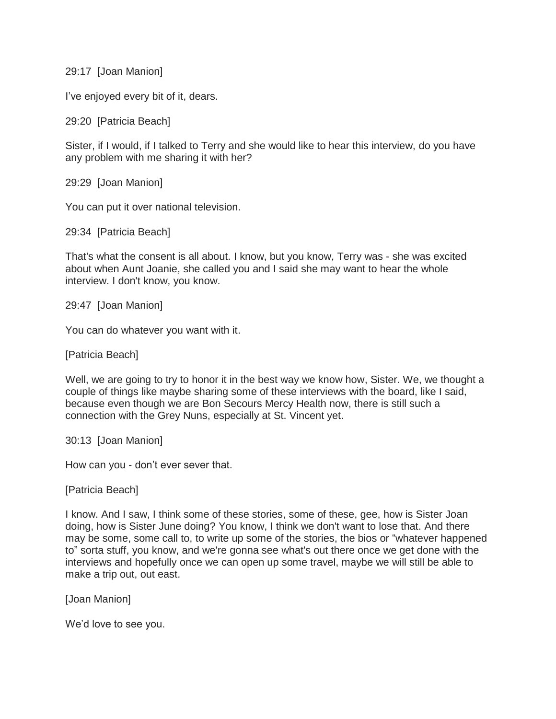29:17 [Joan Manion]

I've enjoyed every bit of it, dears.

29:20 [Patricia Beach]

Sister, if I would, if I talked to Terry and she would like to hear this interview, do you have any problem with me sharing it with her?

29:29 [Joan Manion]

You can put it over national television.

29:34 [Patricia Beach]

That's what the consent is all about. I know, but you know, Terry was - she was excited about when Aunt Joanie, she called you and I said she may want to hear the whole interview. I don't know, you know.

29:47 [Joan Manion]

You can do whatever you want with it.

[Patricia Beach]

Well, we are going to try to honor it in the best way we know how, Sister. We, we thought a couple of things like maybe sharing some of these interviews with the board, like I said, because even though we are Bon Secours Mercy Health now, there is still such a connection with the Grey Nuns, especially at St. Vincent yet.

30:13 [Joan Manion]

How can you - don't ever sever that.

[Patricia Beach]

I know. And I saw, I think some of these stories, some of these, gee, how is Sister Joan doing, how is Sister June doing? You know, I think we don't want to lose that. And there may be some, some call to, to write up some of the stories, the bios or "whatever happened to" sorta stuff, you know, and we're gonna see what's out there once we get done with the interviews and hopefully once we can open up some travel, maybe we will still be able to make a trip out, out east.

[Joan Manion]

We'd love to see you.